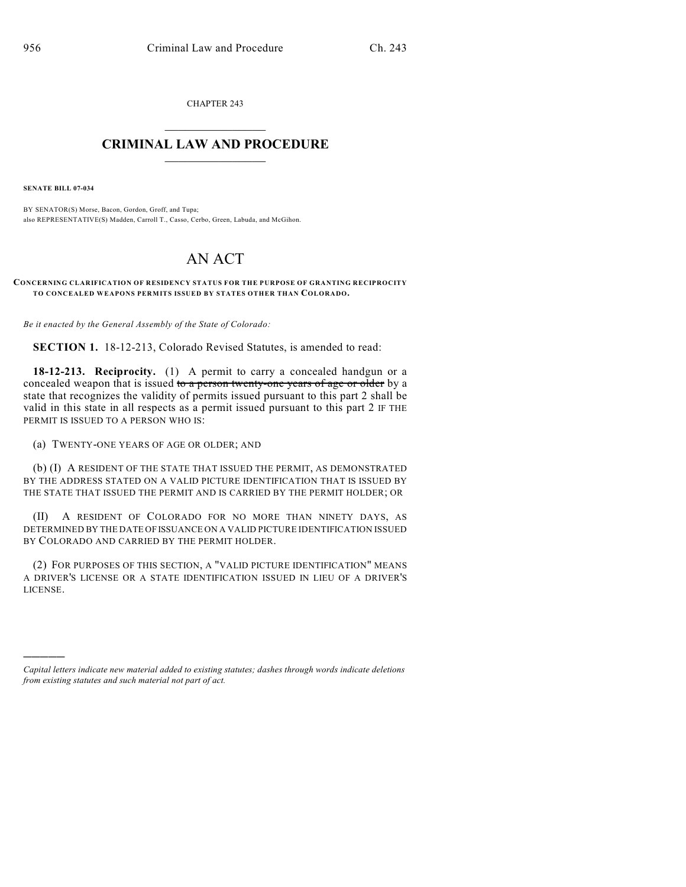CHAPTER 243  $\overline{\phantom{a}}$  . The set of the set of the set of the set of the set of the set of the set of the set of the set of the set of the set of the set of the set of the set of the set of the set of the set of the set of the set o

## **CRIMINAL LAW AND PROCEDURE**  $\_$

**SENATE BILL 07-034**

)))))

BY SENATOR(S) Morse, Bacon, Gordon, Groff, and Tupa; also REPRESENTATIVE(S) Madden, Carroll T., Casso, Cerbo, Green, Labuda, and McGihon.

## AN ACT

**CONCERNING CLARIFICATION OF RESIDENCY STATUS FOR THE PURPOSE OF GRANTING RECIPROCITY TO CONCEALED WEAPONS PERMITS ISSUED BY STATES OTHER THAN COLORADO.**

*Be it enacted by the General Assembly of the State of Colorado:*

**SECTION 1.** 18-12-213, Colorado Revised Statutes, is amended to read:

**18-12-213. Reciprocity.** (1) A permit to carry a concealed handgun or a concealed weapon that is issued to a person twenty-one years of age or older by a state that recognizes the validity of permits issued pursuant to this part 2 shall be valid in this state in all respects as a permit issued pursuant to this part 2 IF THE PERMIT IS ISSUED TO A PERSON WHO IS:

(a) TWENTY-ONE YEARS OF AGE OR OLDER; AND

(b) (I) A RESIDENT OF THE STATE THAT ISSUED THE PERMIT, AS DEMONSTRATED BY THE ADDRESS STATED ON A VALID PICTURE IDENTIFICATION THAT IS ISSUED BY THE STATE THAT ISSUED THE PERMIT AND IS CARRIED BY THE PERMIT HOLDER; OR

(II) A RESIDENT OF COLORADO FOR NO MORE THAN NINETY DAYS, AS DETERMINED BY THE DATE OF ISSUANCE ON A VALID PICTURE IDENTIFICATION ISSUED BY COLORADO AND CARRIED BY THE PERMIT HOLDER.

(2) FOR PURPOSES OF THIS SECTION, A "VALID PICTURE IDENTIFICATION" MEANS A DRIVER'S LICENSE OR A STATE IDENTIFICATION ISSUED IN LIEU OF A DRIVER'S LICENSE.

*Capital letters indicate new material added to existing statutes; dashes through words indicate deletions from existing statutes and such material not part of act.*